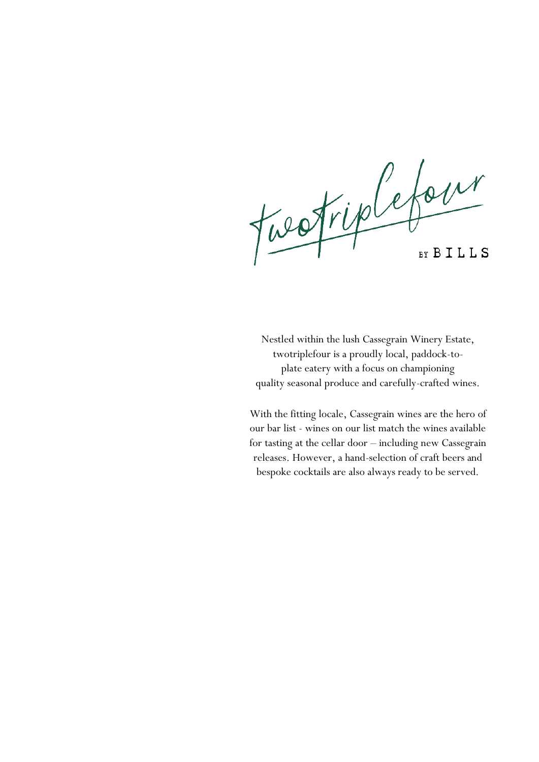Fuestiplefour

Nestled within the lush Cassegrain Winery Estate, twotriplefour is a proudly local, paddock-toplate eatery with a focus on championing quality seasonal produce and carefully-crafted wines.

With the fitting locale, Cassegrain wines are the hero of our bar list - wines on our list match the wines available for tasting at the cellar door – including new Cassegrain releases. However, a hand-selection of craft beers and bespoke cocktails are also always ready to be served.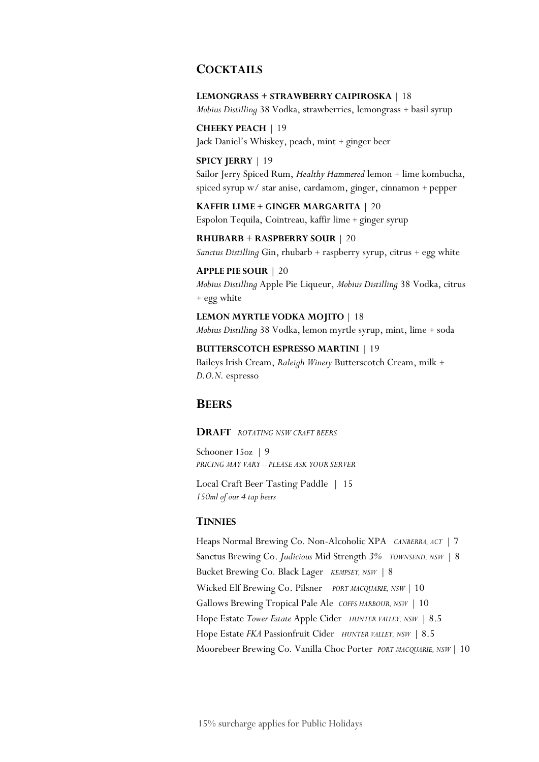### **COCKTAILS**

**LEMONGRASS + STRAWBERRY CAIPIROSKA** | 18 *Mobius Distilling* 38 Vodka, strawberries, lemongrass + basil syrup

**CHEEKY PEACH** | 19 Jack Daniel's Whiskey, peach, mint + ginger beer

**SPICY JERRY** | 19 Sailor Jerry Spiced Rum, *Healthy Hammered* lemon + lime kombucha, spiced syrup w/ star anise, cardamom, ginger, cinnamon + pepper

**KAFFIR LIME + GINGER MARGARITA** | 20 Espolon Tequila, Cointreau, kaffir lime + ginger syrup

**RHUBARB + RASPBERRY SOUR** | 20 *Sanctus Distilling* Gin, rhubarb + raspberry syrup, citrus + egg white

**APPLE PIE SOUR** | 20 *Mobius Distilling* Apple Pie Liqueur, *Mobius Distilling* 38 Vodka, citrus + egg white

**LEMON MYRTLE VODKA MOJITO** | 18 *Mobius Distilling* 38 Vodka, lemon myrtle syrup, mint, lime + soda

**BUTTERSCOTCH ESPRESSO MARTINI** | 19 Baileys Irish Cream, *Raleigh Winery* Butterscotch Cream, milk + *D.O.N.* espresso

### **BEERS**

**DRAFT** *ROTATING NSW CRAFT BEERS* 

Schooner 15oz | 9 *PRICING MAY VARY – PLEASE ASK YOUR SERVER*

Local Craft Beer Tasting Paddle | 15 *150ml of our 4 tap beers*

#### **TINNIES**

Heaps Normal Brewing Co*.* Non-Alcoholic XPA *CANBERRA, ACT* | 7 Sanctus Brewing Co. *Judicious* Mid Strength *3% TOWNSEND, NSW* | 8 Bucket Brewing Co*.* Black Lager *KEMPSEY, NSW* | 8 Wicked Elf Brewing Co. Pilsner *PORT MACQUARIE, NSW* | 10 Gallows Brewing Tropical Pale Ale *COFFS HARBOUR, NSW* | 10 Hope Estate *Tower Estate* Apple Cider *HUNTER VALLEY, NSW* | 8.5 Hope Estate *FKA* Passionfruit Cider *HUNTER VALLEY, NSW* | 8.5 Moorebeer Brewing Co*.* Vanilla Choc Porter *PORT MACQUARIE, NSW* | 10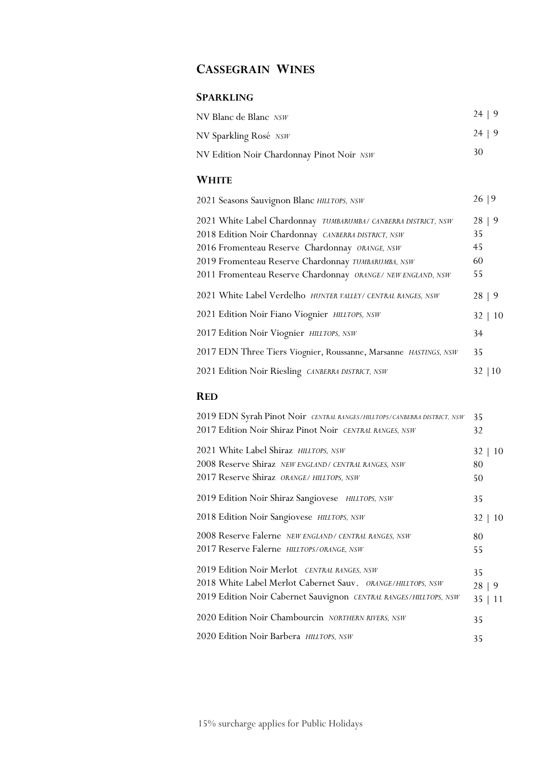# **CASSEGRAIN WINES**

# **SPARKLING**

| NV Blanc de Blanc NSW                     | 24   9 |
|-------------------------------------------|--------|
| NV Sparkling Rosé NSW                     | 24   9 |
| NV Edition Noir Chardonnay Pinot Noir NSW | 30     |

# **WHITE**

| 2021 Seasons Sauvignon Blanc HILLTOPS, NSW                       | 26 9         |
|------------------------------------------------------------------|--------------|
| 2021 White Label Chardonnay TUMBARUMBA/ CANBERRA DISTRICT, NSW   | 28   9       |
| 2018 Edition Noir Chardonnay CANBERRA DISTRICT, NSW              | 35           |
| 2016 Fromenteau Reserve Chardonnay ORANGE, NSW                   | 45           |
| 2019 Fromenteau Reserve Chardonnay TUMBARUMBA, NSW               | 60           |
| 2011 Fromenteau Reserve Chardonnay ORANGE/ NEW ENGLAND, NSW      | 55           |
| 2021 White Label Verdelho HUNTER VALLEY/ CENTRAL RANGES, NSW     | 28   9       |
| 2021 Edition Noir Fiano Viognier HILLTOPS, NSW                   | $32 \mid 10$ |
| 2017 Edition Noir Viognier HILLTOPS, NSW                         | 34           |
| 2017 EDN Three Tiers Viognier, Roussanne, Marsanne HASTINGS, NSW | 35           |
| 2021 Edition Noir Riesling CANBERRA DISTRICT, NSW                | 32           |

# **RED**

| 2019 EDN Syrah Pinot Noir CENTRAL RANGES/HILLTOPS/CANBERRA DISTRICT, NSW | 35           |
|--------------------------------------------------------------------------|--------------|
| 2017 Edition Noir Shiraz Pinot Noir CENTRAL RANGES, NSW                  | 32           |
| 2021 White Label Shiraz HILLTOPS, NSW                                    | $32 \mid 10$ |
| 2008 Reserve Shiraz NEW ENGLAND/ CENTRAL RANGES, NSW                     | 80           |
| 2017 Reserve Shiraz ORANGE/ HILLTOPS, NSW                                | 50           |
| 2019 Edition Noir Shiraz Sangiovese HILLTOPS, NSW                        | 35           |
| 2018 Edition Noir Sangiovese HILLTOPS, NSW                               | 32<br>10     |
| 2008 Reserve Falerne NEW ENGLAND/ CENTRAL RANGES, NSW                    | 80           |
| 2017 Reserve Falerne HILLTOPS/ORANGE, NSW                                | 55           |
| 2019 Edition Noir Merlot CENTRAL RANGES, NSW                             | 35           |
| 2018 White Label Merlot Cabernet Sauv. ORANGE/HILLTOPS, NSW              | 28   9       |
| 2019 Edition Noir Cabernet Sauvignon CENTRAL RANGES/HILLTOPS, NSW        | 35   11      |
| 2020 Edition Noir Chambourcin NORTHERN RIVERS, NSW                       | 35           |
| 2020 Edition Noir Barbera HILLTOPS, NSW                                  | 35           |